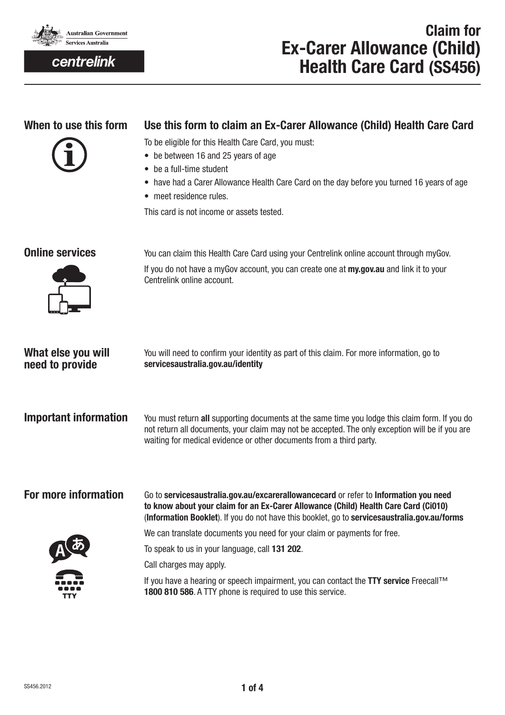

## centrelink

# **Claim for Ex-Carer Allowance (Child) Health Care Card (SS456)**

## **When to use this form**



## **Use this form to claim an Ex-Carer Allowance (Child) Health Care Card**

To be eligible for this Health Care Card, you must:

- be between 16 and 25 years of age
- be a full-time student
- have had a Carer Allowance Health Care Card on the day before you turned 16 years of age
- meet residence rules.

This card is not income or assets tested.

## **Online services**



**What else you will** 

You can claim this Health Care Card using your Centrelink online account through myGov.

If you do not have a myGov account, you can create one at **my.gov.au** and link it to your Centrelink online account.

You will need to confirm your identity as part of this claim. For more information, go to

| need to provide              | servicesaustralia.gov.au/identity                                                                                                                                                                 |  |
|------------------------------|---------------------------------------------------------------------------------------------------------------------------------------------------------------------------------------------------|--|
|                              |                                                                                                                                                                                                   |  |
| <b>Important information</b> | You must return all supporting documents at the same time you lodge this claim form. If you do<br>not return all documents, your claim may not be accepted. The only exception will be if you are |  |

waiting for medical evidence or other documents from a third party.

**For more information**

Go to **www.servicesaustralia.gov.au/excarerallowancecard** or refer to **Information you need to know about your claim for an Ex-Carer Allowance (Child) Health Care Card (Ci010)** (**Information Booklet**). If you do not have this booklet, go to **www.servicesaustralia.gov.au/forms**



We can translate documents you need for your claim or payments for free.

To speak to us in your language, call **131 202**.

Call charges may apply.

If you have a hearing or speech impairment, you can contact the **TTY service** Freecall™ **1800 810 586**. A TTY phone is required to use this service.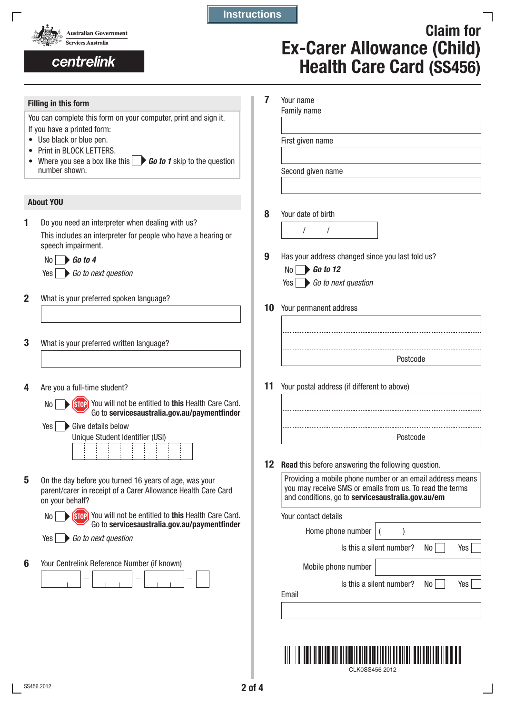

**Instructions**

# centrelink

# **Claim for Ex-Carer Allowance (Child) Health Care Card (SS456)**

#### **Filling in this form**

You can complete this form on your computer, print and sign it. If you have a printed form:

- Use black or blue pen.
- Print in BLOCK LETTERS.
- Where you see a box like this **F** Go to 1 skip to the question number shown.

### **About YOU**

**1** Do you need an interpreter when dealing with us? This includes an interpreter for people who have a hearing or speech impairment.



- **2** What is your preferred spoken language?
- **3** What is your preferred written language?
- **4** Are you a full-time student?

No

Yes

No

You will not be entitled to **this** Health Care Card. .<br>Stol Go to **www.servicesaustralia.gov.au/paymentfinder**

| ∙ Give details below            |  |  |  |  |  |  |  |  |
|---------------------------------|--|--|--|--|--|--|--|--|
| Unique Student Identifier (USI) |  |  |  |  |  |  |  |  |
|                                 |  |  |  |  |  |  |  |  |
|                                 |  |  |  |  |  |  |  |  |

**5** On the day before you turned 16 years of age, was your parent/carer in receipt of a Carer Allowance Health Care Card on your behalf?



*Go to next question* Yes<sup>[</sup>

**6** Your Centrelink Reference Number (if known)



| Your name                                                                            |
|--------------------------------------------------------------------------------------|
| Family name                                                                          |
| First given name                                                                     |
| Second given name                                                                    |
| Your date of birth                                                                   |
| 1<br>1                                                                               |
| Has your address changed since you last told us?<br>$\mathsf{No}$ $\bullet$ Go to 12 |
| $Yes \rightarrow Go$ to next question                                                |
| Your permanent address                                                               |
|                                                                                      |
| Postcode                                                                             |

**11**

| Postcode |  |
|----------|--|
|          |  |

**12 Read** this before answering the following question.

Providing a mobile phone number or an email address means you may receive SMS or emails from us. To read the terms and conditions, go to **servicesaustralia.gov.au/em** 

Your contact details

|       | Home phone number $ $ (  |  |      |     |
|-------|--------------------------|--|------|-----|
|       | Is this a silent number? |  | No I | Yes |
|       | Mobile phone number      |  |      |     |
|       | Is this a silent number? |  | No l | Yes |
| Email |                          |  |      |     |
|       |                          |  |      |     |



CLK0SS456 2012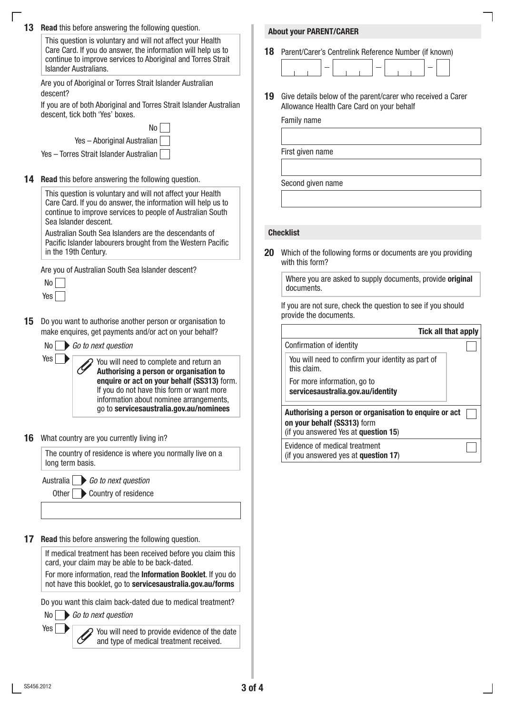| 13 | <b>Read</b> this before answering the following question.                                                                                                                                                           |    | <b>About your PARENT/CARER</b>                                                                                                       |  |  |  |  |
|----|---------------------------------------------------------------------------------------------------------------------------------------------------------------------------------------------------------------------|----|--------------------------------------------------------------------------------------------------------------------------------------|--|--|--|--|
|    | This question is voluntary and will not affect your Health<br>Care Card. If you do answer, the information will help us to<br>continue to improve services to Aboriginal and Torres Strait<br>Islander Australians. | 18 | Parent/Carer's Centrelink Reference Number (if known)                                                                                |  |  |  |  |
|    | Are you of Aboriginal or Torres Strait Islander Australian<br>descent?                                                                                                                                              | 19 | Give details below of the parent/carer who received a Carer                                                                          |  |  |  |  |
|    | If you are of both Aboriginal and Torres Strait Islander Australian<br>descent, tick both 'Yes' boxes.                                                                                                              |    | Allowance Health Care Card on your behalf<br>Family name                                                                             |  |  |  |  |
|    | No<br>Yes - Aboriginal Australian                                                                                                                                                                                   |    |                                                                                                                                      |  |  |  |  |
|    | Yes - Torres Strait Islander Australian                                                                                                                                                                             |    | First given name                                                                                                                     |  |  |  |  |
| 14 | <b>Read</b> this before answering the following question.                                                                                                                                                           |    | Second given name                                                                                                                    |  |  |  |  |
|    | This question is voluntary and will not affect your Health<br>Care Card. If you do answer, the information will help us to<br>continue to improve services to people of Australian South<br>Sea Islander descent.   |    |                                                                                                                                      |  |  |  |  |
|    | Australian South Sea Islanders are the descendants of<br>Pacific Islander labourers brought from the Western Pacific<br>in the 19th Century.<br>Are you of Australian South Sea Islander descent?                   |    | <b>Checklist</b>                                                                                                                     |  |  |  |  |
|    |                                                                                                                                                                                                                     |    | Which of the following forms or documents are you providing<br>20<br>with this form?                                                 |  |  |  |  |
|    | No<br>Yes                                                                                                                                                                                                           |    | Where you are asked to supply documents, provide original<br>documents.                                                              |  |  |  |  |
| 15 | Do you want to authorise another person or organisation to                                                                                                                                                          |    | If you are not sure, check the question to see if you should<br>provide the documents.                                               |  |  |  |  |
|    | make enquires, get payments and/or act on your behalf?                                                                                                                                                              |    | <b>Tick all that apply</b>                                                                                                           |  |  |  |  |
|    | Go to next question<br>No                                                                                                                                                                                           |    | Confirmation of identity                                                                                                             |  |  |  |  |
|    | Yes<br>You will need to complete and return an<br>Authorising a person or organisation to<br>enquire or act on your behalf (SS313) form.<br>If you do not have this form or want more                               |    | You will need to confirm your identity as part of<br>this claim.<br>For more information, go to<br>servicesaustralia.gov.au/identity |  |  |  |  |
|    | information about nominee arrangements,<br>go to servicesaustralia.gov.au/nominees                                                                                                                                  |    | Authorising a person or organisation to enquire or act<br>on your behalf (SS313) form<br>(if you answered Yes at question 15)        |  |  |  |  |
| 16 | What country are you currently living in?                                                                                                                                                                           |    |                                                                                                                                      |  |  |  |  |
|    | The country of residence is where you normally live on a<br>long term basis.                                                                                                                                        |    | Evidence of medical treatment<br>(if you answered yes at question 17)                                                                |  |  |  |  |
|    | Go to next question<br>Australia                                                                                                                                                                                    |    |                                                                                                                                      |  |  |  |  |
|    | Country of residence<br>Other                                                                                                                                                                                       |    |                                                                                                                                      |  |  |  |  |
|    |                                                                                                                                                                                                                     |    |                                                                                                                                      |  |  |  |  |
| 17 | <b>Read</b> this before answering the following question.<br>If medical treatment has been received before you claim this                                                                                           |    |                                                                                                                                      |  |  |  |  |
|    | card, your claim may be able to be back-dated.<br>For more information, read the Information Booklet. If you do<br>not have this booklet, go to servicesaustralia.gov.au/forms                                      |    |                                                                                                                                      |  |  |  |  |
|    |                                                                                                                                                                                                                     |    |                                                                                                                                      |  |  |  |  |
|    | Do you want this claim back-dated due to medical treatment?                                                                                                                                                         |    |                                                                                                                                      |  |  |  |  |
|    | Go to next question<br>No                                                                                                                                                                                           |    |                                                                                                                                      |  |  |  |  |
|    | Yes<br>You will need to provide evidence of the date<br>and type of medical treatment received.                                                                                                                     |    |                                                                                                                                      |  |  |  |  |

 $\overline{\phantom{a}}$ 

 $\overline{\phantom{a}}$